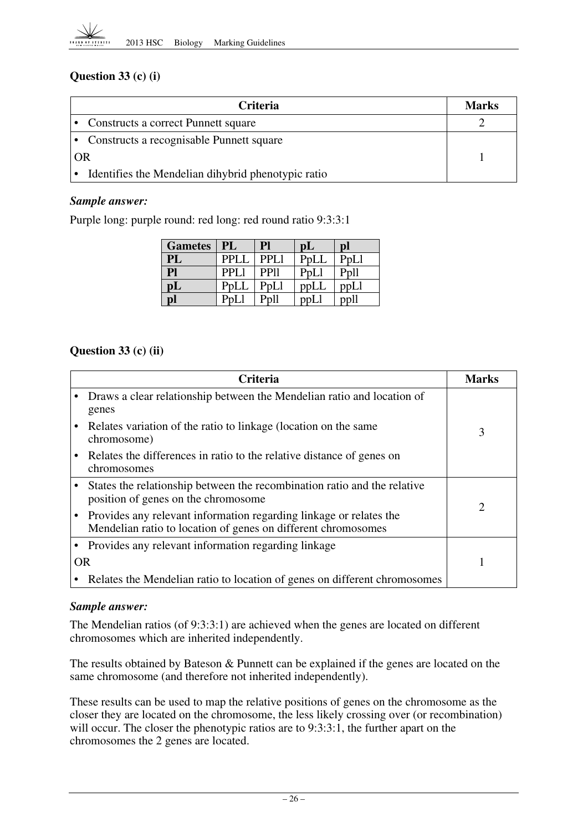

## **Question 33 (c) (i)**

| <b>Criteria</b>                                    | <b>Marks</b> |
|----------------------------------------------------|--------------|
| • Constructs a correct Punnett square              |              |
| • Constructs a recognisable Punnett square         |              |
| OR                                                 |              |
| Identifies the Mendelian dihybrid phenotypic ratio |              |

#### *Sample answer:*

Purple long: purple round: red long: red round ratio 9:3:3:1

| <b>Gametes</b> | PL          | Pl               | pL      | $\mathbf{D}$ |
|----------------|-------------|------------------|---------|--------------|
| PL             | <b>PPLI</b> | PPL1             | PpLL    | PpLI         |
| P1             | <b>PPL</b>  | PP <sub>11</sub> | PpLl    |              |
| pL             | PpLL        | PpLl             | p p L L | ppLl         |
| pl             |             |                  |         |              |

#### **Question 33 (c) (ii)**

|           | <b>Criteria</b>                                                                                                                     | Marks                       |
|-----------|-------------------------------------------------------------------------------------------------------------------------------------|-----------------------------|
|           | Draws a clear relationship between the Mendelian ratio and location of<br>genes                                                     |                             |
|           | Relates variation of the ratio to linkage (location on the same<br>chromosome)                                                      | 3                           |
|           | Relates the differences in ratio to the relative distance of genes on<br>chromosomes                                                |                             |
|           | States the relationship between the recombination ratio and the relative<br>position of genes on the chromosome                     | $\mathcal{D}_{\mathcal{L}}$ |
|           | Provides any relevant information regarding linkage or relates the<br>Mendelian ratio to location of genes on different chromosomes |                             |
|           | Provides any relevant information regarding linkage                                                                                 |                             |
| <b>OR</b> |                                                                                                                                     |                             |
|           | Relates the Mendelian ratio to location of genes on different chromosomes                                                           |                             |

#### *Sample answer:*

The Mendelian ratios (of 9:3:3:1) are achieved when the genes are located on different chromosomes which are inherited independently.

The results obtained by Bateson & Punnett can be explained if the genes are located on the same chromosome (and therefore not inherited independently).

These results can be used to map the relative positions of genes on the chromosome as the closer they are located on the chromosome, the less likely crossing over (or recombination) will occur. The closer the phenotypic ratios are to 9:3:3:1, the further apart on the chromosomes the 2 genes are located.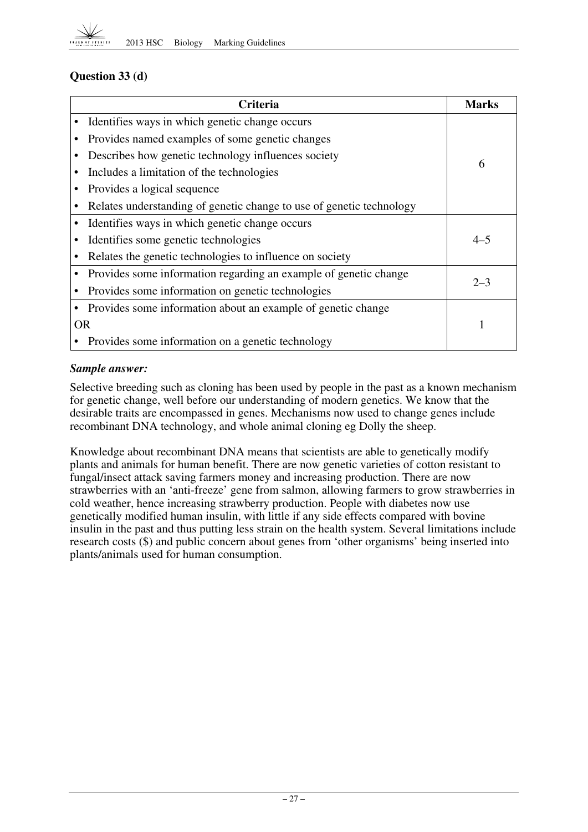

## **Question 33 (d)**

|           | <b>Criteria</b>                                                      | Marks   |
|-----------|----------------------------------------------------------------------|---------|
|           | Identifies ways in which genetic change occurs                       |         |
|           | Provides named examples of some genetic changes                      |         |
|           | Describes how genetic technology influences society                  | 6       |
|           | Includes a limitation of the technologies                            |         |
|           | Provides a logical sequence                                          |         |
|           | Relates understanding of genetic change to use of genetic technology |         |
|           | Identifies ways in which genetic change occurs                       |         |
|           | Identifies some genetic technologies                                 | $4 - 5$ |
|           | Relates the genetic technologies to influence on society             |         |
|           | Provides some information regarding an example of genetic change     | $2 - 3$ |
|           | Provides some information on genetic technologies                    |         |
|           | Provides some information about an example of genetic change         |         |
| <b>OR</b> |                                                                      |         |
|           | Provides some information on a genetic technology                    |         |

#### *Sample answer:*

Selective breeding such as cloning has been used by people in the past as a known mechanism for genetic change, well before our understanding of modern genetics. We know that the desirable traits are encompassed in genes. Mechanisms now used to change genes include recombinant DNA technology, and whole animal cloning eg Dolly the sheep.

Knowledge about recombinant DNA means that scientists are able to genetically modify plants and animals for human benefit. There are now genetic varieties of cotton resistant to fungal/insect attack saving farmers money and increasing production. There are now strawberries with an 'anti-freeze' gene from salmon, allowing farmers to grow strawberries in cold weather, hence increasing strawberry production. People with diabetes now use genetically modified human insulin, with little if any side effects compared with bovine insulin in the past and thus putting less strain on the health system. Several limitations include research costs (\$) and public concern about genes from 'other organisms' being inserted into plants/animals used for human consumption.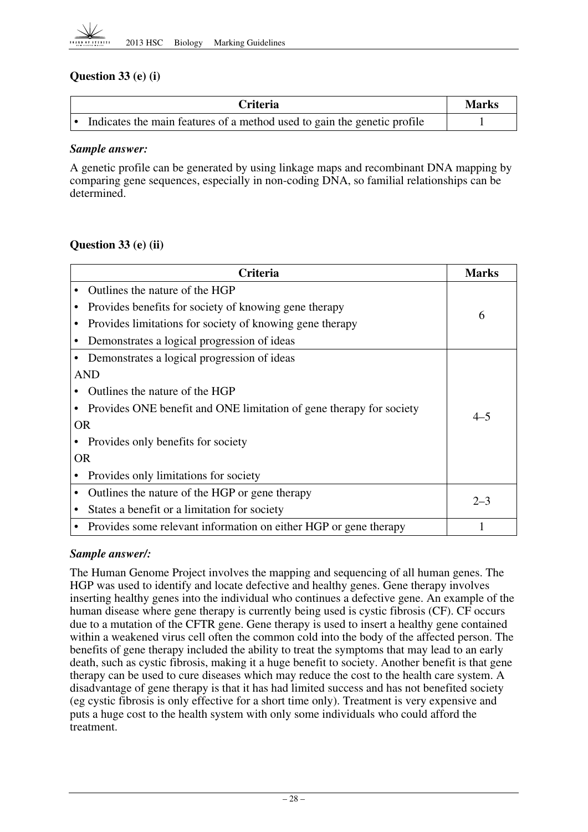

## **Question 33 (e) (i)**

| Criteria                                                                 | <b>Marks</b> |
|--------------------------------------------------------------------------|--------------|
| Indicates the main features of a method used to gain the genetic profile |              |

#### *Sample answer:*

A genetic profile can be generated by using linkage maps and recombinant DNA mapping by comparing gene sequences, especially in non-coding DNA, so familial relationships can be determined.

## **Question 33 (e) (ii)**

|           | Criteria                                                            | <b>Marks</b> |
|-----------|---------------------------------------------------------------------|--------------|
|           | Outlines the nature of the HGP                                      |              |
|           | Provides benefits for society of knowing gene therapy               | 6            |
|           | Provides limitations for society of knowing gene therapy            |              |
|           | Demonstrates a logical progression of ideas                         |              |
|           | Demonstrates a logical progression of ideas                         |              |
|           | AND                                                                 |              |
|           | Outlines the nature of the HGP                                      |              |
|           | Provides ONE benefit and ONE limitation of gene therapy for society | $4 - 5$      |
|           | <b>OR</b>                                                           |              |
|           | Provides only benefits for society                                  |              |
| <b>OR</b> |                                                                     |              |
|           | Provides only limitations for society                               |              |
|           | Outlines the nature of the HGP or gene therapy                      | $2 - 3$      |
|           | States a benefit or a limitation for society                        |              |
|           | Provides some relevant information on either HGP or gene therapy    |              |

#### *Sample answer/:*

The Human Genome Project involves the mapping and sequencing of all human genes. The HGP was used to identify and locate defective and healthy genes. Gene therapy involves inserting healthy genes into the individual who continues a defective gene. An example of the human disease where gene therapy is currently being used is cystic fibrosis (CF). CF occurs due to a mutation of the CFTR gene. Gene therapy is used to insert a healthy gene contained within a weakened virus cell often the common cold into the body of the affected person. The benefits of gene therapy included the ability to treat the symptoms that may lead to an early death, such as cystic fibrosis, making it a huge benefit to society. Another benefit is that gene therapy can be used to cure diseases which may reduce the cost to the health care system. A disadvantage of gene therapy is that it has had limited success and has not benefited society (eg cystic fibrosis is only effective for a short time only). Treatment is very expensive and puts a huge cost to the health system with only some individuals who could afford the treatment.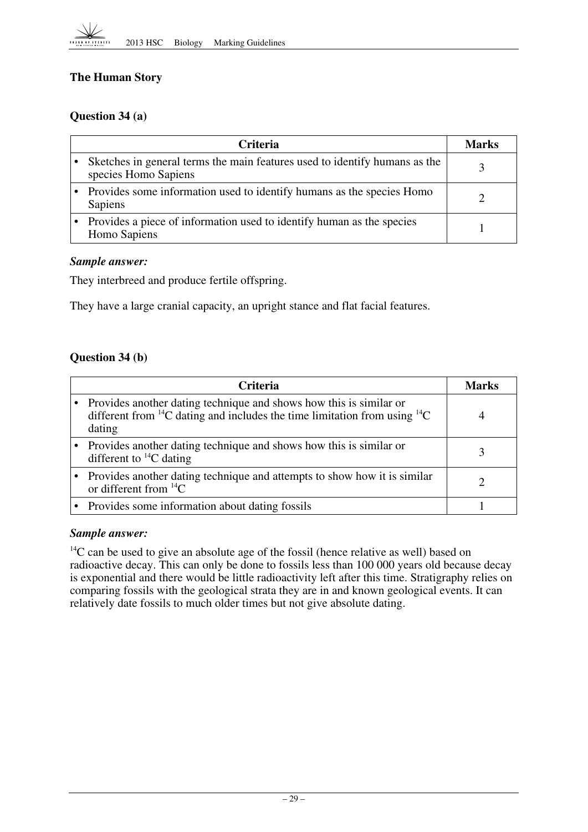## **The!Human Story**

## **Question 34 (a)**

| <b>Criteria</b>                                                                                    | Marks |
|----------------------------------------------------------------------------------------------------|-------|
| Sketches in general terms the main features used to identify humans as the<br>species Homo Sapiens |       |
| • Provides some information used to identify humans as the species Homo<br>Sapiens                 |       |
| Provides a piece of information used to identify human as the species<br>Homo Sapiens              |       |

#### *Sample answer:*

They interbreed and produce fertile offspring.

They have a large cranial capacity, an upright stance and flat facial features.

## **Question 34 (b)**

| <b>Criteria</b>                                                                                                                                                         | <b>Marks</b> |
|-------------------------------------------------------------------------------------------------------------------------------------------------------------------------|--------------|
| Provides another dating technique and shows how this is similar or<br>different from ${}^{14}C$ dating and includes the time limitation from using ${}^{14}C$<br>dating |              |
| Provides another dating technique and shows how this is similar or<br>different to ${}^{14}C$ dating                                                                    |              |
| Provides another dating technique and attempts to show how it is similar<br>or different from $^{14}C$                                                                  |              |
| • Provides some information about dating fossils                                                                                                                        |              |

#### *Sample answer:*

 $14$ C can be used to give an absolute age of the fossil (hence relative as well) based on radioactive decay. This can only be done to fossils less than 100 000 years old because decay is exponential and there would be little radioactivity left after this time. Stratigraphy relies on comparing fossils with the geological strata they are in and known geological events. It can relatively date fossils to much older times but not give absolute dating.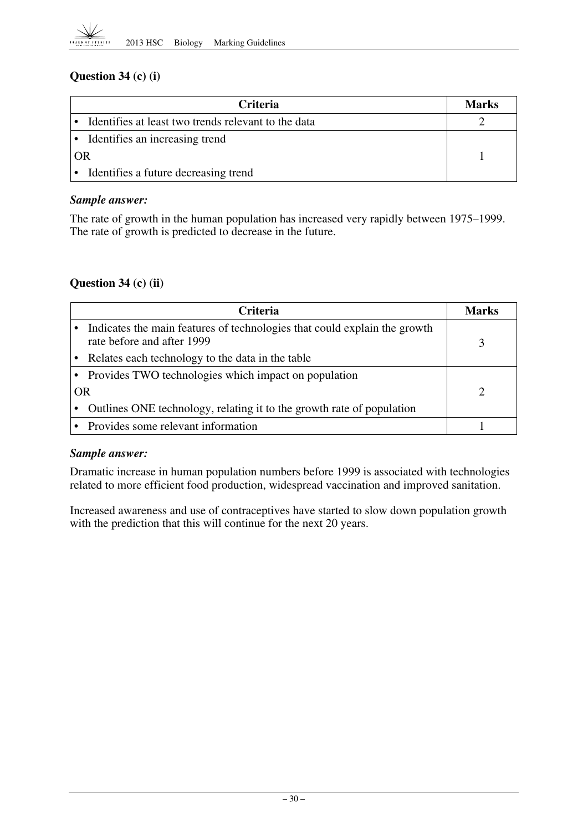

## **Question 34 (c) (i)**

| <b>Criteria</b>                                     | <b>Marks</b> |
|-----------------------------------------------------|--------------|
| Identifies at least two trends relevant to the data |              |
| • Identifies an increasing trend                    |              |
| OR                                                  |              |
| • Identifies a future decreasing trend              |              |

#### *Sample answer:*

The rate of growth in the human population has increased very rapidly between 1975–1999. The rate of growth is predicted to decrease in the future.

## **Question 34 (c) (ii)**

|           | Criteria                                                                                                | Marks |
|-----------|---------------------------------------------------------------------------------------------------------|-------|
|           | Indicates the main features of technologies that could explain the growth<br>rate before and after 1999 |       |
|           | Relates each technology to the data in the table                                                        |       |
|           | • Provides TWO technologies which impact on population                                                  |       |
| <b>OR</b> |                                                                                                         |       |
|           | Outlines ONE technology, relating it to the growth rate of population                                   |       |
|           | • Provides some relevant information                                                                    |       |

#### *Sample answer:*

Dramatic increase in human population numbers before 1999 is associated with technologies related to more efficient food production, widespread vaccination and improved sanitation.

Increased awareness and use of contraceptives have started to slow down population growth with the prediction that this will continue for the next 20 years.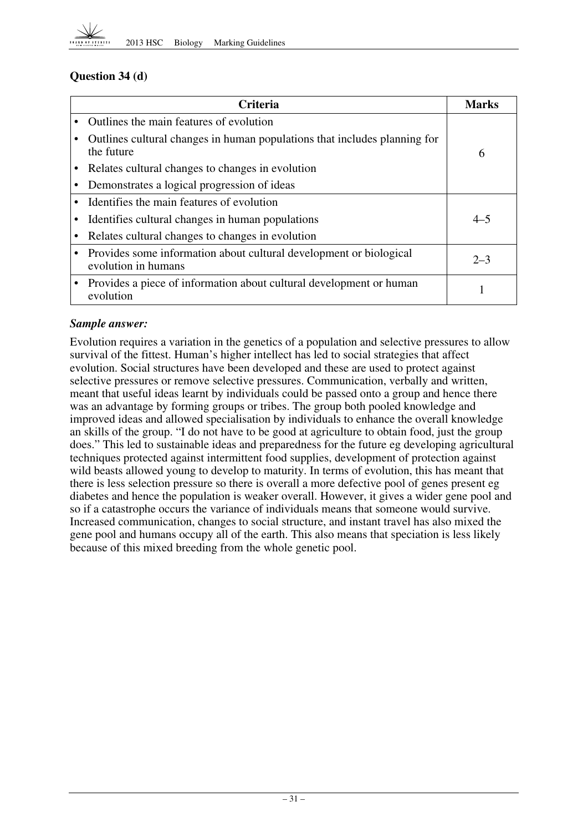

## **Question 34 (d)**

| <b>Criteria</b>                                                                           | Marks   |
|-------------------------------------------------------------------------------------------|---------|
| Outlines the main features of evolution                                                   |         |
| Outlines cultural changes in human populations that includes planning for<br>the future   | 6       |
| Relates cultural changes to changes in evolution                                          |         |
| Demonstrates a logical progression of ideas                                               |         |
| Identifies the main features of evolution                                                 |         |
| Identifies cultural changes in human populations                                          | $4 - 5$ |
| Relates cultural changes to changes in evolution                                          |         |
| Provides some information about cultural development or biological<br>evolution in humans | $2 - 3$ |
| Provides a piece of information about cultural development or human<br>evolution          |         |

## *Sample answer:*

Evolution requires a variation in the genetics of a population and selective pressures to allow survival of the fittest. Human's higher intellect has led to social strategies that affect evolution. Social structures have been developed and these are used to protect against selective pressures or remove selective pressures. Communication, verbally and written, meant that useful ideas learnt by individuals could be passed onto a group and hence there was an advantage by forming groups or tribes. The group both pooled knowledge and improved ideas and allowed specialisation by individuals to enhance the overall knowledge an skills of the group. "I do not have to be good at agriculture to obtain food, just the group does." This led to sustainable ideas and preparedness for the future eg developing agricultural techniques protected against intermittent food supplies, development of protection against wild beasts allowed young to develop to maturity. In terms of evolution, this has meant that there is less selection pressure so there is overall a more defective pool of genes present eg diabetes and hence the population is weaker overall. However, it gives a wider gene pool and so if a catastrophe occurs the variance of individuals means that someone would survive. Increased communication, changes to social structure, and instant travel has also mixed the gene pool and humans occupy all of the earth. This also means that speciation is less likely because of this mixed breeding from the whole genetic pool.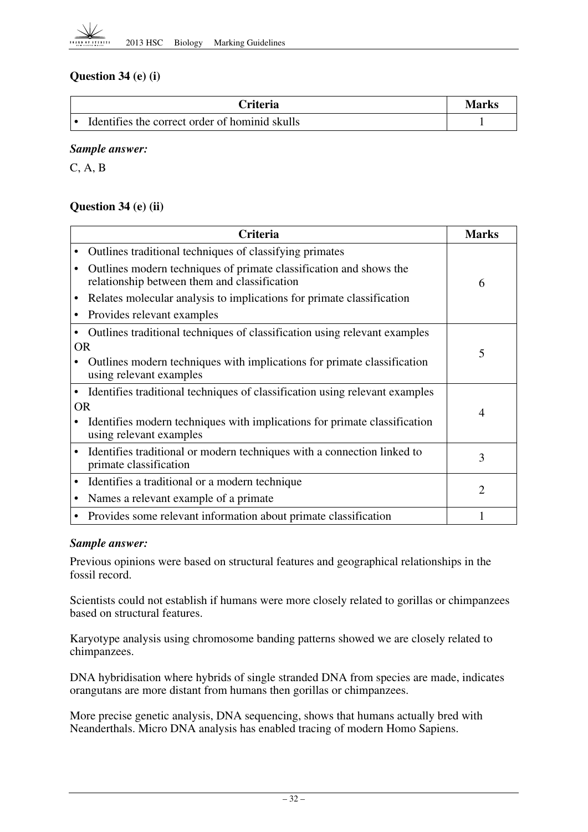## **Question 34 (e) (i)**

| Criteria                                       | Marks |
|------------------------------------------------|-------|
| Identifies the correct order of hominid skulls |       |

#### *Sample answer:*

C, A, B

## **Question 34 (e) (ii)**

|           | Criteria                                                                                                           |                |  |  |  |
|-----------|--------------------------------------------------------------------------------------------------------------------|----------------|--|--|--|
|           | Outlines traditional techniques of classifying primates                                                            |                |  |  |  |
|           | Outlines modern techniques of primate classification and shows the<br>relationship between them and classification | 6              |  |  |  |
|           | Relates molecular analysis to implications for primate classification                                              |                |  |  |  |
|           | Provides relevant examples                                                                                         |                |  |  |  |
|           | Outlines traditional techniques of classification using relevant examples                                          |                |  |  |  |
| <b>OR</b> |                                                                                                                    | 5              |  |  |  |
|           | Outlines modern techniques with implications for primate classification<br>using relevant examples                 |                |  |  |  |
|           | Identifies traditional techniques of classification using relevant examples                                        |                |  |  |  |
| 0R        |                                                                                                                    | $\overline{4}$ |  |  |  |
|           | Identifies modern techniques with implications for primate classification<br>using relevant examples               |                |  |  |  |
| ٠         | Identifies traditional or modern techniques with a connection linked to<br>primate classification                  | 3              |  |  |  |
| ٠         | Identifies a traditional or a modern technique                                                                     | $\overline{2}$ |  |  |  |
|           | Names a relevant example of a primate                                                                              |                |  |  |  |
|           | Provides some relevant information about primate classification                                                    |                |  |  |  |

#### *Sample answer:*

Previous opinions were based on structural features and geographical relationships in the fossil record.

Scientists could not establish if humans were more closely related to gorillas or chimpanzees based on structural features.

Karyotype analysis using chromosome banding patterns showed we are closely related to chimpanzees.

DNA hybridisation where hybrids of single stranded DNA from species are made, indicates orangutans are more distant from humans then gorillas or chimpanzees.

More precise genetic analysis, DNA sequencing, shows that humans actually bred with Neanderthals. Micro DNA analysis has enabled tracing of modern Homo Sapiens.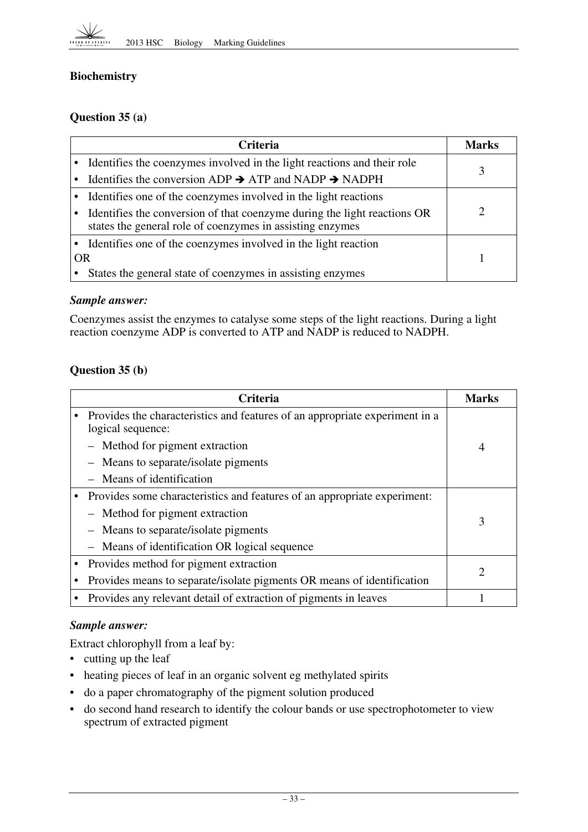## **Biochemistry**

## **Question 35 (a)**

| <b>Criteria</b> |                                                                                                                                       |   |  |
|-----------------|---------------------------------------------------------------------------------------------------------------------------------------|---|--|
|                 | • Identifies the coenzymes involved in the light reactions and their role                                                             | 3 |  |
|                 | Identifies the conversion ADP $\rightarrow$ ATP and NADP $\rightarrow$ NADPH                                                          |   |  |
|                 | • Identifies one of the coenzymes involved in the light reactions                                                                     |   |  |
| $\bullet$       | Identifies the conversion of that coenzyme during the light reactions OR<br>states the general role of coenzymes in assisting enzymes | ႒ |  |
|                 | • Identifies one of the coenzymes involved in the light reaction                                                                      |   |  |
| <b>OR</b>       |                                                                                                                                       |   |  |
|                 | States the general state of coenzymes in assisting enzymes                                                                            |   |  |

#### *Sample answer:*

Coenzymes assist the enzymes to catalyse some steps of the light reactions. During a light reaction coenzyme ADP is converted to ATP and NADP is reduced to NADPH.

## **Question 35 (b)**

| <b>Criteria</b>                                                                                  |   |  |  |
|--------------------------------------------------------------------------------------------------|---|--|--|
| Provides the characteristics and features of an appropriate experiment in a<br>logical sequence: |   |  |  |
| Method for pigment extraction                                                                    | 4 |  |  |
| Means to separate/isolate pigments                                                               |   |  |  |
| Means of identification                                                                          |   |  |  |
| Provides some characteristics and features of an appropriate experiment:                         |   |  |  |
| - Method for pigment extraction                                                                  | 3 |  |  |
| Means to separate/isolate pigments<br>$\overline{\phantom{m}}$                                   |   |  |  |
| Means of identification OR logical sequence<br>$-$                                               |   |  |  |
| Provides method for pigment extraction                                                           |   |  |  |
| Provides means to separate/isolate pigments OR means of identification                           |   |  |  |
| Provides any relevant detail of extraction of pigments in leaves                                 |   |  |  |

## *Sample answer:*

Extract chlorophyll from a leaf by:

- cutting up the leaf
- heating pieces of leaf in an organic solvent eg methylated spirits
- • do a paper chromatography of the pigment solution produced
- • do second hand research to identify the colour bands or use spectrophotometer to view spectrum of extracted pigment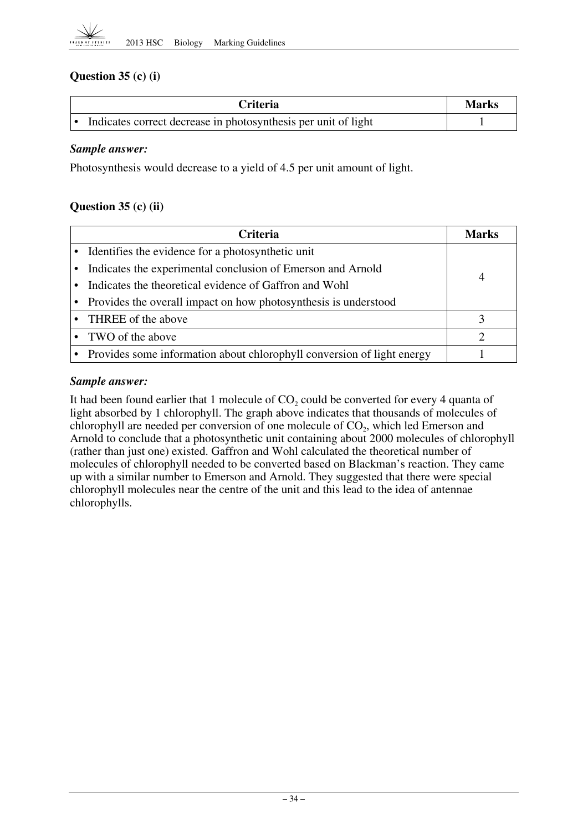

## **Question 35 (c) (i)**

| Criteria                                                       | <b>Marks</b> |
|----------------------------------------------------------------|--------------|
| Indicates correct decrease in photosynthesis per unit of light |              |

#### *Sample answer:*

Photosynthesis would decrease to a yield of 4.5 per unit amount of light.

## **Question 35 (c) (ii)**

| <b>Criteria</b>                                                          |                |  |  |  |
|--------------------------------------------------------------------------|----------------|--|--|--|
| • Identifies the evidence for a photosynthetic unit                      |                |  |  |  |
| Indicates the experimental conclusion of Emerson and Arnold              | $\overline{4}$ |  |  |  |
| Indicates the theoretical evidence of Gaffron and Wohl                   |                |  |  |  |
| • Provides the overall impact on how photosynthesis is understood        |                |  |  |  |
| • THREE of the above                                                     |                |  |  |  |
| • TWO of the above                                                       |                |  |  |  |
| • Provides some information about chlorophyll conversion of light energy |                |  |  |  |

#### *Sample answer:*

It had been found earlier that 1 molecule of  $CO<sub>2</sub>$  could be converted for every 4 quanta of light absorbed by 1 chlorophyll. The graph above indicates that thousands of molecules of chlorophyll are needed per conversion of one molecule of  $CO<sub>2</sub>$ , which led Emerson and Arnold to conclude that a photosynthetic unit containing about 2000 molecules of chlorophyll (rather than just one) existed. Gaffron and Wohl calculated the theoretical number of molecules of chlorophyll needed to be converted based on Blackman's reaction. They came up with a similar number to Emerson and Arnold. They suggested that there were special chlorophyll molecules near the centre of the unit and this lead to the idea of antennae chlorophylls.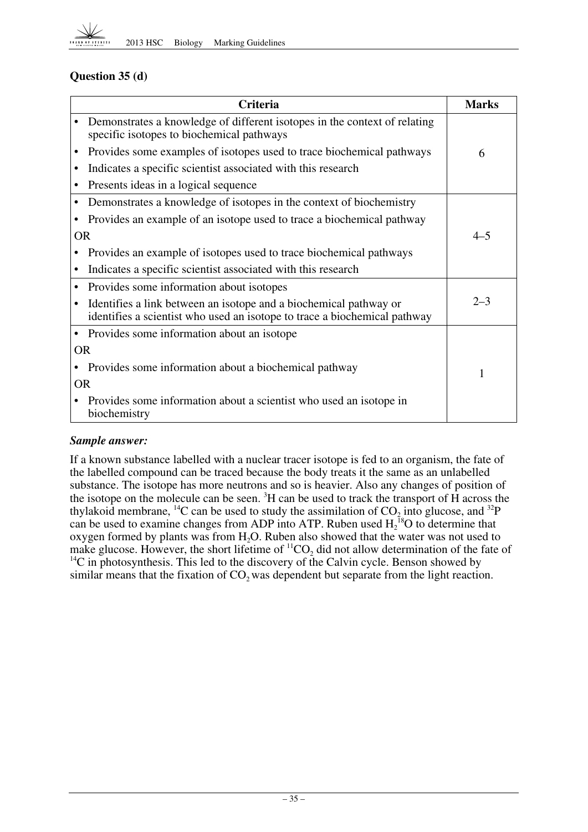

## **Question 35 (d)**

|           | <b>Criteria</b>                                                                                                                                | <b>Marks</b> |
|-----------|------------------------------------------------------------------------------------------------------------------------------------------------|--------------|
|           | Demonstrates a knowledge of different isotopes in the context of relating<br>specific isotopes to biochemical pathways                         |              |
| ٠         | Provides some examples of isotopes used to trace biochemical pathways                                                                          | 6            |
| $\bullet$ | Indicates a specific scientist associated with this research                                                                                   |              |
| $\bullet$ | Presents ideas in a logical sequence                                                                                                           |              |
|           | Demonstrates a knowledge of isotopes in the context of biochemistry                                                                            |              |
|           | Provides an example of an isotope used to trace a biochemical pathway                                                                          |              |
| <b>OR</b> |                                                                                                                                                | $4 - 5$      |
|           | Provides an example of isotopes used to trace biochemical pathways                                                                             |              |
|           | Indicates a specific scientist associated with this research                                                                                   |              |
|           | Provides some information about isotopes                                                                                                       |              |
|           | Identifies a link between an isotope and a biochemical pathway or<br>identifies a scientist who used an isotope to trace a biochemical pathway | $2 - 3$      |
| $\bullet$ | Provides some information about an isotope                                                                                                     |              |
| <b>OR</b> |                                                                                                                                                |              |
|           | Provides some information about a biochemical pathway                                                                                          | 1            |
| <b>OR</b> |                                                                                                                                                |              |
|           | Provides some information about a scientist who used an isotope in<br>biochemistry                                                             |              |

## *Sample answer:*

If a known substance labelled with a nuclear tracer isotope is fed to an organism, the fate of the labelled compound can be traced because the body treats it the same as an unlabelled substance. The isotope has more neutrons and so is heavier. Also any changes of position of the isotope on the molecule can be seen.  ${}^{3}H$  can be used to track the transport of H across the thylakoid membrane, <sup>14</sup>C can be used to study the assimilation of  $CO<sub>2</sub>$  into glucose, and <sup>32</sup>P can be used to examine changes from ADP into ATP. Ruben used  $H_2^{18}O$  to determine that oxygen formed by plants was from  $H_2O$ . Ruben also showed that the water was not used to make glucose. However, the short lifetime of  ${}^{11}CO_2$  did not allow determination of the fate of  $14$ C in photosynthesis. This led to the discovery of the Calvin cycle. Benson showed by similar means that the fixation of  $CO<sub>2</sub>$  was dependent but separate from the light reaction.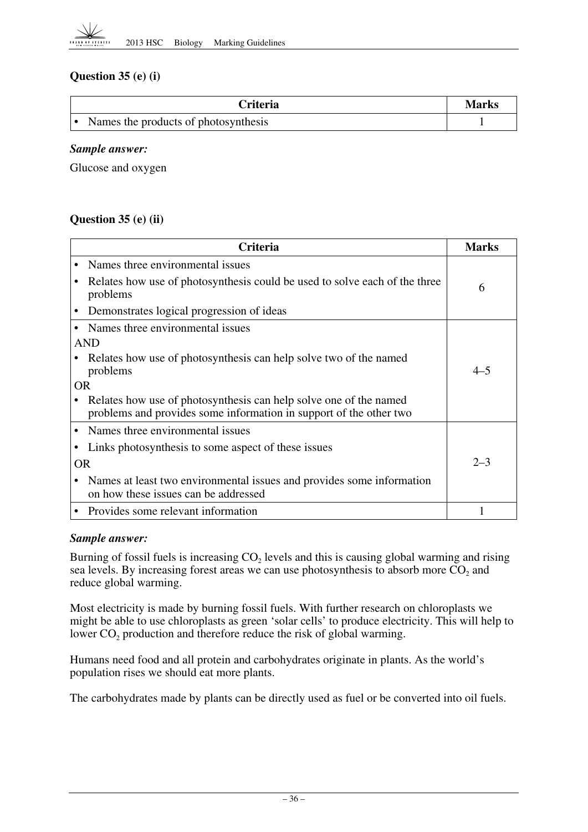

## **Question 35 (e) (i)**

| <b>Criteria</b>                      | Marks |
|--------------------------------------|-------|
| Names the products of photosynthesis |       |

#### *Sample answer:*

Glucose and oxygen

## **Question 35 (e) (ii)**

|           | <b>Marks</b>                                                                                                                            |         |  |  |
|-----------|-----------------------------------------------------------------------------------------------------------------------------------------|---------|--|--|
|           | Names three environmental issues                                                                                                        |         |  |  |
|           | Relates how use of photosynthesis could be used to solve each of the three<br>problems                                                  | 6       |  |  |
|           | Demonstrates logical progression of ideas                                                                                               |         |  |  |
|           | Names three environmental issues                                                                                                        |         |  |  |
|           | AND                                                                                                                                     |         |  |  |
|           | Relates how use of photosynthesis can help solve two of the named<br>problems                                                           | $4 - 5$ |  |  |
| OR.       |                                                                                                                                         |         |  |  |
|           | Relates how use of photosynthesis can help solve one of the named<br>problems and provides some information in support of the other two |         |  |  |
|           | Names three environmental issues                                                                                                        |         |  |  |
|           | Links photosynthesis to some aspect of these issues                                                                                     |         |  |  |
| <b>OR</b> |                                                                                                                                         | $2 - 3$ |  |  |
|           | Names at least two environmental issues and provides some information<br>on how these issues can be addressed                           |         |  |  |
|           | Provides some relevant information                                                                                                      |         |  |  |

#### *Sample answer:*

Burning of fossil fuels is increasing  $CO<sub>2</sub>$  levels and this is causing global warming and rising sea levels. By increasing forest areas we can use photosynthesis to absorb more  $CO<sub>2</sub>$  and reduce global warming.

Most electricity is made by burning fossil fuels. With further research on chloroplasts we might be able to use chloroplasts as green 'solar cells' to produce electricity. This will help to lower  $CO<sub>2</sub>$  production and therefore reduce the risk of global warming.

Humans need food and all protein and carbohydrates originate in plants. As the world's population rises we should eat more plants.

The carbohydrates made by plants can be directly used as fuel or be converted into oil fuels.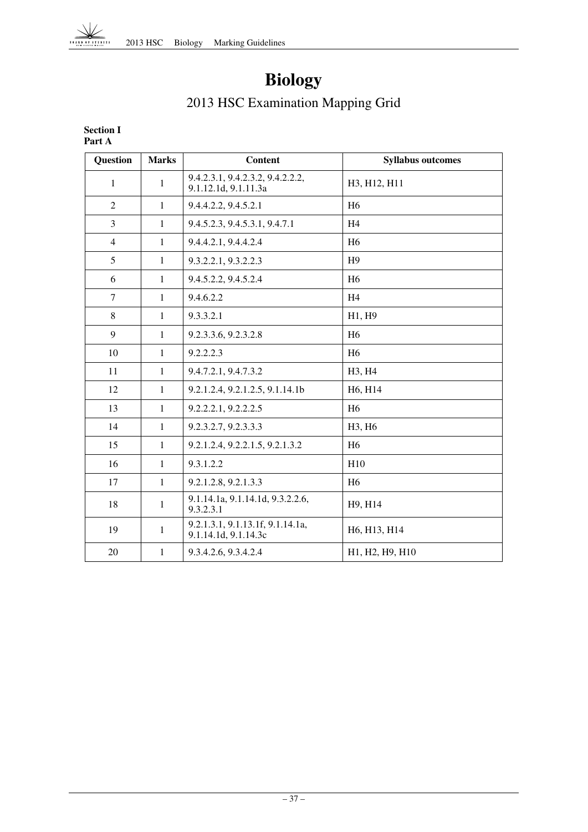

# **Biology**

# 2013 HSC Examination Mapping Grid

#### **Section I Part A**

| <b>Question</b> | <b>Marks</b> | Content                                                  | <b>Syllabus outcomes</b>                           |
|-----------------|--------------|----------------------------------------------------------|----------------------------------------------------|
| $\mathbf{1}$    | $\mathbf{1}$ | 9.4.2.3.1, 9.4.2.3.2, 9.4.2.2.2,<br>9.1.12.1d, 9.1.11.3a | H <sub>3</sub> , H <sub>12</sub> , H <sub>11</sub> |
| $\overline{2}$  | $\mathbf{1}$ | 9.4.4.2.2, 9.4.5.2.1                                     | H <sub>6</sub>                                     |
| $\overline{3}$  | $\mathbf{1}$ | 9.4.5.2.3, 9.4.5.3.1, 9.4.7.1                            | H <sub>4</sub>                                     |
| $\overline{4}$  | $\mathbf{1}$ | 9.4.4.2.1, 9.4.4.2.4                                     | H <sub>6</sub>                                     |
| 5               | $\mathbf{1}$ | 9.3.2.2.1, 9.3.2.2.3                                     | H <sub>9</sub>                                     |
| 6               | $\mathbf{1}$ | 9.4.5.2.2, 9.4.5.2.4                                     | H <sub>6</sub>                                     |
| $\tau$          | $\mathbf{1}$ | 9.4.6.2.2                                                | H <sub>4</sub>                                     |
| 8               | $\mathbf{1}$ | 9.3.3.2.1                                                | H1, H9                                             |
| 9               | $\mathbf{1}$ | 9.2.3.3.6, 9.2.3.2.8                                     | H <sub>6</sub>                                     |
| 10              | $\mathbf{1}$ | 9.2.2.2.3                                                | H <sub>6</sub>                                     |
| 11              | $\mathbf{1}$ | 9.4.7.2.1, 9.4.7.3.2                                     | H3, H4                                             |
| 12              | $\mathbf{1}$ | 9.2.1.2.4, 9.2.1.2.5, 9.1.14.1b                          | H6, H14                                            |
| 13              | $\mathbf{1}$ | 9.2.2.2.1, 9.2.2.2.5                                     | H <sub>6</sub>                                     |
| 14              | $\mathbf{1}$ | 9.2.3.2.7, 9.2.3.3.3                                     | H3, H6                                             |
| 15              | $\mathbf{1}$ | 9.2.1.2.4, 9.2.2.1.5, 9.2.1.3.2                          | H <sub>6</sub>                                     |
| 16              | 1            | 9.3.1.2.2                                                | H10                                                |
| 17              | $\mathbf{1}$ | 9.2.1.2.8, 9.2.1.3.3                                     | H <sub>6</sub>                                     |
| 18              | $\mathbf{1}$ | 9.1.14.1a, 9.1.14.1d, 9.3.2.2.6,<br>9.3.2.3.1            | H9, H14                                            |
| 19              | $\mathbf{1}$ | 9.2.1.3.1, 9.1.13.1f, 9.1.14.1a,<br>9.1.14.1d, 9.1.14.3c | H6, H13, H14                                       |
| 20              | $\mathbf{1}$ | 9.3.4.2.6, 9.3.4.2.4                                     | H1, H2, H9, H10                                    |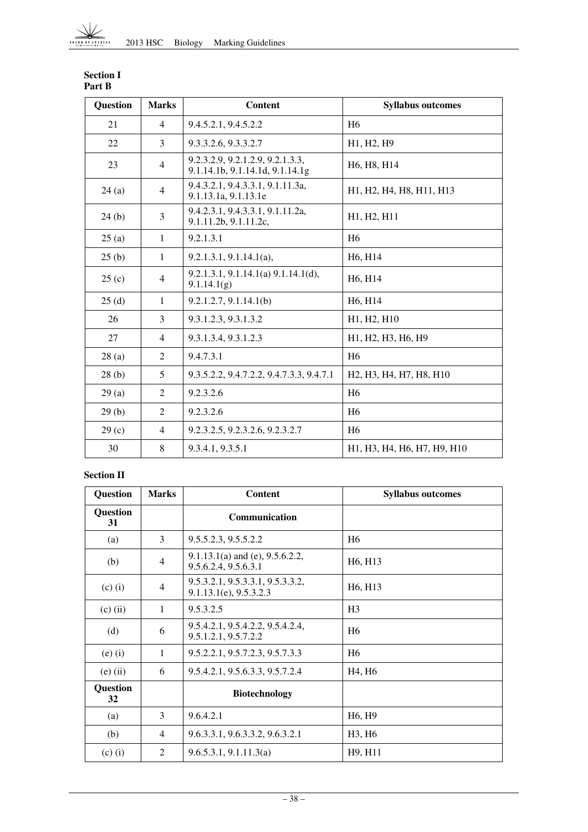| <b>Question</b> | <b>Marks</b>   | Content                                                             | <b>Syllabus outcomes</b>                                                                             |
|-----------------|----------------|---------------------------------------------------------------------|------------------------------------------------------------------------------------------------------|
| 21              | $\overline{4}$ | 9.4.5.2.1, 9.4.5.2.2                                                | H <sub>6</sub>                                                                                       |
| 22              | 3              | 9.3.3.2.6, 9.3.3.2.7                                                | H <sub>1</sub> , H <sub>2</sub> , H <sub>9</sub>                                                     |
| 23              | $\overline{4}$ | 9.2.3.2.9, 9.2.1.2.9, 9.2.1.3.3,<br>9.1.14.1b, 9.1.14.1d, 9.1.14.1g | H <sub>6</sub> , H <sub>8</sub> , H <sub>14</sub>                                                    |
| 24(a)           | $\overline{4}$ | 9.4.3.2.1, 9.4.3.3.1, 9.1.11.3a,<br>9.1.13.1a, 9.1.13.1e            | H1, H2, H4, H8, H11, H13                                                                             |
| 24(b)           | 3              | 9.4.2.3.1, 9.4.3.3.1, 9.1.11.2a,<br>9.1.11.2b, 9.1.11.2c,           | H1, H2, H11                                                                                          |
| 25(a)           | $\mathbf{1}$   | 9.2.1.3.1                                                           | H <sub>6</sub>                                                                                       |
| 25(b)           | $\mathbf{1}$   | $9.2.1.3.1, 9.1.14.1(a)$ ,                                          | H <sub>6</sub> , H <sub>14</sub>                                                                     |
| 25(c)           | $\overline{4}$ | 9.2.1.3.1, 9.1.14.1(a) 9.1.14.1(d),<br>9.1.14.1(g)                  | H6, H14                                                                                              |
| 25(d)           | $\mathbf{1}$   | 9.2.1.2.7, 9.1.14.1(b)                                              | H6, H14                                                                                              |
| 26              | 3              | 9.3.1.2.3, 9.3.1.3.2                                                | H1, H2, H10                                                                                          |
| 27              | $\overline{4}$ | 9.3.1.3.4, 9.3.1.2.3                                                | H1, H2, H3, H6, H9                                                                                   |
| 28(a)           | 2              | 9.4.7.3.1                                                           | H <sub>6</sub>                                                                                       |
| 28(b)           | 5              | 9.3.5.2.2, 9.4.7.2.2, 9.4.7.3.3, 9.4.7.1                            | H <sub>2</sub> , H <sub>3</sub> , H <sub>4</sub> , H <sub>7</sub> , H <sub>8</sub> , H <sub>10</sub> |
| 29(a)           | 2              | 9.2.3.2.6                                                           | H <sub>6</sub>                                                                                       |
| 29(b)           | 2              | 9.2.3.2.6                                                           | H <sub>6</sub>                                                                                       |
| 29(c)           | $\overline{4}$ | 9.2.3.2.5, 9.2.3.2.6, 9.2.3.2.7                                     | H <sub>6</sub>                                                                                       |
| 30              | 8              | 9.3.4.1, 9.3.5.1                                                    | H1, H3, H4, H6, H7, H9, H10                                                                          |

#### **Section I Part B**

#### **Section II**

| <b>Question</b> | <b>Marks</b>   | <b>Content</b>                                                  | <b>Syllabus outcomes</b>         |
|-----------------|----------------|-----------------------------------------------------------------|----------------------------------|
| Question<br>31  |                | Communication                                                   |                                  |
| (a)             | 3              | 9.5.5.2.3, 9.5.5.2.2                                            | H <sub>6</sub>                   |
| (b)             | $\overline{4}$ | $9.1.13.1(a)$ and (e), $9.5.6.2.2$ ,<br>9.5.6.2.4, 9.5.6.3.1    | H <sub>6</sub> , H <sub>13</sub> |
| $(c)$ (i)       | $\overline{4}$ | 9.5.3.2.1, 9.5.3.3.1, 9.5.3.3.2,<br>$9.1.13.1(e)$ , $9.5.3.2.3$ | H <sub>6</sub> , H <sub>13</sub> |
| $(c)$ (ii)      | $\mathbf{1}$   | 9.5.3.2.5                                                       | H <sub>3</sub>                   |
| (d)             | 6              | 9.5.4.2.1, 9.5.4.2.2, 9.5.4.2.4,<br>9.5.1.2.1, 9.5.7.2.2        | H <sub>6</sub>                   |
| $(e)$ $(i)$     | $\mathbf{1}$   | 9.5.2.2.1, 9.5.7.2.3, 9.5.7.3.3                                 | H <sub>6</sub>                   |
| $(e)$ (ii)      | 6              | 9.5.4.2.1, 9.5.6.3.3, 9.5.7.2.4                                 | H <sub>4</sub> , H <sub>6</sub>  |
| Question<br>32  |                | <b>Biotechnology</b>                                            |                                  |
| (a)             | 3              | 9.6.4.2.1                                                       | H <sub>6</sub> , H <sub>9</sub>  |
| (b)             | $\overline{4}$ | 9.6.3.3.1, 9.6.3.3.2, 9.6.3.2.1                                 | H <sub>3</sub> , H <sub>6</sub>  |
| $(c)$ $(i)$     | 2              | 9.6.5.3.1, 9.1.11.3(a)                                          | H9, H11                          |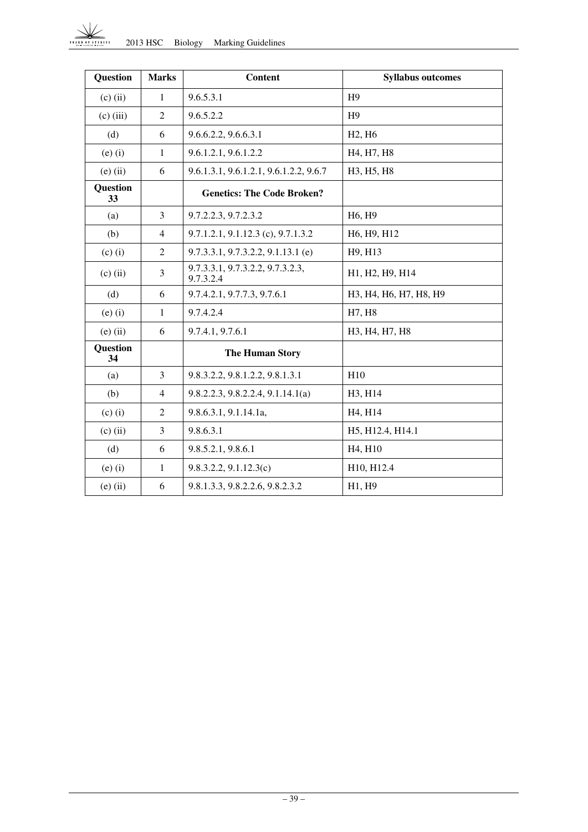#### 2013 HSC Biology Marking Guidelines  $\frac{1}{2}$

| <b>Question</b> | <b>Marks</b>   | <b>Content</b>                                | <b>Syllabus outcomes</b>         |
|-----------------|----------------|-----------------------------------------------|----------------------------------|
| $(c)$ (ii)      | 1              | 9.6.5.3.1                                     | H <sub>9</sub>                   |
| $(c)$ (iii)     | $\overline{2}$ | 9.6.5.2.2                                     | H <sub>9</sub>                   |
| (d)             | 6              | 9.6.6.2.2, 9.6.6.3.1                          | H <sub>2</sub> , H <sub>6</sub>  |
| $(e)$ $(i)$     | $\mathbf{1}$   | 9.6.1.2.1, 9.6.1.2.2                          | H4, H7, H8                       |
| $(e)$ (ii)      | 6              | 9.6.1.3.1, 9.6.1.2.1, 9.6.1.2.2, 9.6.7        | H3, H5, H8                       |
| Question<br>33  |                | <b>Genetics: The Code Broken?</b>             |                                  |
| (a)             | 3              | 9.7.2.2.3, 9.7.2.3.2                          | H6, H9                           |
| (b)             | 4              | 9.7.1.2.1, 9.1.12.3 (c), 9.7.1.3.2            | H6, H9, H12                      |
| $(c)$ $(i)$     | 2              | $9.7.3.3.1, 9.7.3.2.2, 9.1.13.1$ (e)          | H9, H13                          |
| $(c)$ (ii)      | 3              | 9.7.3.3.1, 9.7.3.2.2, 9.7.3.2.3,<br>9.7.3.2.4 | H1, H2, H9, H14                  |
| (d)             | 6              | 9.7.4.2.1, 9.7.7.3, 9.7.6.1                   | H3, H4, H6, H7, H8, H9           |
| $(e)$ $(i)$     | $\mathbf{1}$   | 9.7.4.2.4                                     | H7, H8                           |
| $(e)$ (ii)      | 6              | 9.7.4.1, 9.7.6.1                              | H3, H4, H7, H8                   |
| Question<br>34  |                | <b>The Human Story</b>                        |                                  |
| (a)             | $\overline{3}$ | 9.8.3.2.2, 9.8.1.2.2, 9.8.1.3.1               | H10                              |
| (b)             | $\overline{4}$ | 9.8.2.2.3, 9.8.2.2.4, 9.1.14.1(a)             | H3, H14                          |
| $(c)$ $(i)$     | $\overline{2}$ | 9.8.6.3.1, 9.1.14.1a,                         | H <sub>4</sub> , H <sub>14</sub> |
| $(c)$ (ii)      | 3              | 9.8.6.3.1                                     | H5, H12.4, H14.1                 |
| (d)             | 6              | 9.8.5.2.1, 9.8.6.1                            | H <sub>4</sub> , H <sub>10</sub> |
| $(e)$ $(i)$     | $\mathbf{1}$   | 9.8.3.2.2, 9.1.12.3(c)                        | H10, H12.4                       |
| $(e)$ (ii)      | 6              | 9.8.1.3.3, 9.8.2.2.6, 9.8.2.3.2               | H1, H9                           |